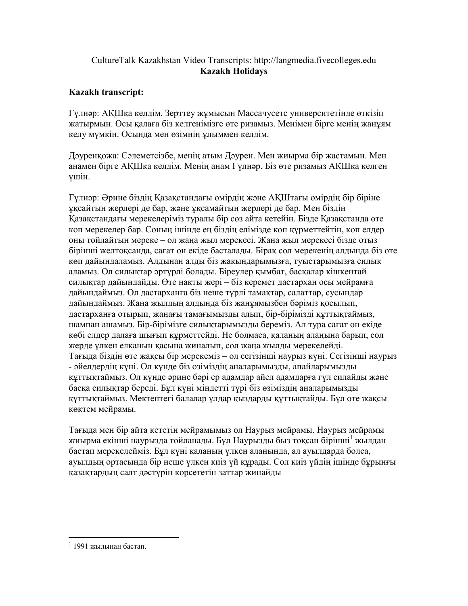## CultureTalk Kazakhstan Video Transcripts: http://langmedia.fivecolleges.edu Kazakh Holidays

## Kazakh transcript:

Гүлнəр: АҚШқа келдім. Зерттеу жұмысын Массачусетс университетінде өткізіп жатырмын. Oсы қалаға біз келгенімізге өте ризамыз. Менімен бірге менің жанұям келу мүмкін. Осында мен өзімнің ұлыммен келдім.

Дəуренқожа: Сəлеметсізбе, менің атым Дəурен. Мен жиырма бір жастамын. Мен анамен бірге АҚШқа келдім. Менің анам Гүлнəр. Біз өте ризамыз АҚШқа келген үшін.

Гүлнəр: Əрине біздің Қазақстандағы өмірдің жəне АҚШтағы өмірдің бір біріне ұқсайтын жерлері де бар, жəне ұқсамайтын жерлері де бар. Мен біздің Қазақстандағы мерекелеріміз туралы бір сөз айта кетейін. Бізде Қазақстанда өте көп мерекелер бар. Соның ішінде ең біздің елімізде көп құрметтейтін, көп елдер оны тойлайтын мереке – ол жаңа жыл мерекесі. Жаңа жыл мерекесі бізде отыз бірінші желтоқсанда, сағат он екіде басталады. Бірақ сол мерекенің алдында біз өте көп дайындаламыз. Алдынан алды біз жақындарымызға, туыстарымызға силық аламыз. Ол силықтар əртүрлі болады. Біреулер қымбат, басқалар кішкентай силықтар дайындайды. Өте нақты жері – біз керемет дастархан осы мейрамға дайындаймыз. Ол дастарханға біз неше түрлі тамақтар, салаттар, сусындар дайындаймыз. Жаңа жылдың алдында біз жанұямызбен бəріміз қосылып, дастарханға отырып, жаңағы тамағымызды алып, бір-бірімізді құттықтаймыз, шампан ашамыз. Бір-бірімізге силықтарымызды береміз. Ал тура сағат он екіде көбі елдер далаға шығып құрметтейді. Hе болмаса, қаланың алаңына барып, сол жерде үлкен елканын қасына жиналып, сол жаңа жылды мерекелейді. Тағыда біздің өте жақсы бір мерекеміз – ол сегізінші наурыз күні. Сегізінші наурыз - əйелдердің күні. Ол күнде біз өзіміздің аналарымызды, апайларымызды құттықтаймыз. Ол күнде əрине бəрі ер адамдар айел адамдарға гүл силайды жəне басқа силықтар береді. Бұл күні міндетті түрі біз өзіміздің аналарымызды құттықтаймыз. Мектептегі балалар ұлдар қыздарды құттықтайды. Бұл өте жақсы көктем мейрамы.

Тағыда мен бір айта кететін мейрамымыз ол Наурыз мейрамы. Наурыз мейрамы жиырма екінші наурызда тойланады. Бұл Наурызды быз тоқсан бірінші<sup>1</sup> жылдан бастап мерекелейміз. Бұл күні қаланың үлкен аланында, ал ауылдарда болса, ауылдың ортасында бір неше үлкен киіз үй құрады. Сол киіз үйдің ішінде бұрынғы қазақтардың салт дəстүрін көрсететін заттар жинайды

 $\overline{a}$ 

 $1$  1991 жылынан бастап.